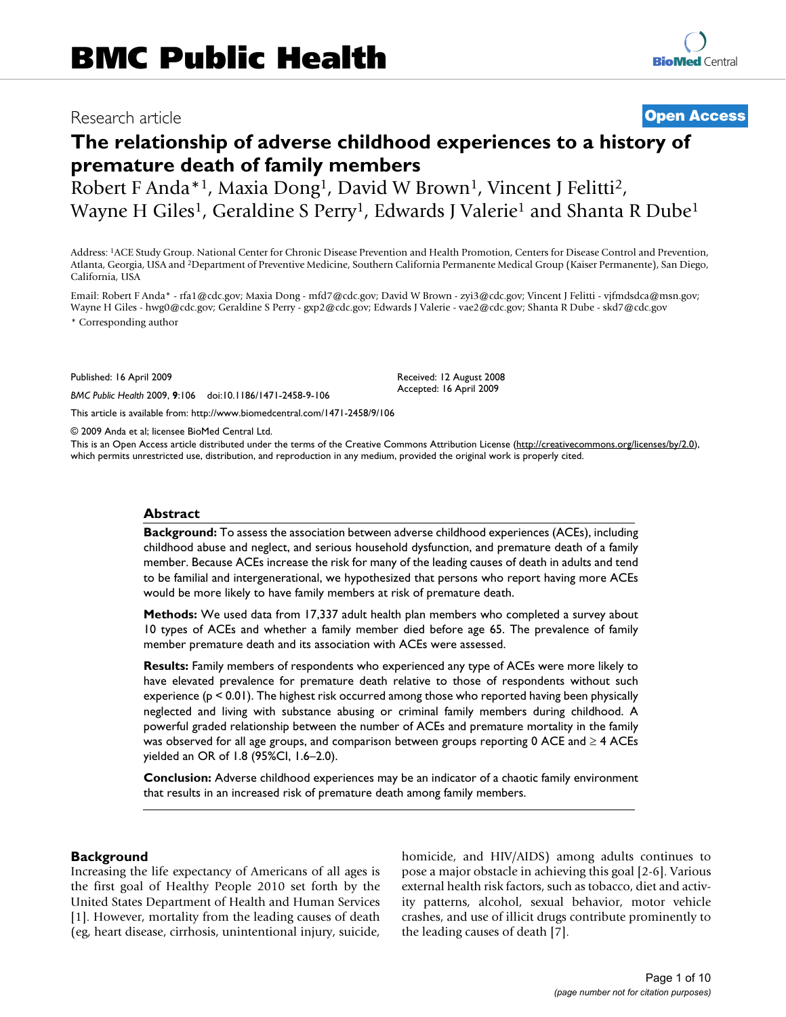# Research article **[Open Access](http://www.biomedcentral.com/info/about/charter/)**

# **The relationship of adverse childhood experiences to a history of premature death of family members**

Robert F Anda\*<sup>1</sup>, Maxia Dong<sup>1</sup>, David W Brown<sup>1</sup>, Vincent J Felitti<sup>2</sup>, Wayne H Giles<sup>1</sup>, Geraldine S Perry<sup>1</sup>, Edwards J Valerie<sup>1</sup> and Shanta R Dube<sup>1</sup>

Address: 1ACE Study Group. National Center for Chronic Disease Prevention and Health Promotion, Centers for Disease Control and Prevention, Atlanta, Georgia, USA and 2Department of Preventive Medicine, Southern California Permanente Medical Group (Kaiser Permanente), San Diego, California, USA

Email: Robert F Anda\* - rfa1@cdc.gov; Maxia Dong - mfd7@cdc.gov; David W Brown - zyi3@cdc.gov; Vincent J Felitti - vjfmdsdca@msn.gov; Wayne H Giles - hwg0@cdc.gov; Geraldine S Perry - gxp2@cdc.gov; Edwards J Valerie - vae2@cdc.gov; Shanta R Dube - skd7@cdc.gov \* Corresponding author

> Received: 12 August 2008 Accepted: 16 April 2009

Published: 16 April 2009

*BMC Public Health* 2009, **9**:106 doi:10.1186/1471-2458-9-106

[This article is available from: http://www.biomedcentral.com/1471-2458/9/106](http://www.biomedcentral.com/1471-2458/9/106)

© 2009 Anda et al; licensee BioMed Central Ltd.

This is an Open Access article distributed under the terms of the Creative Commons Attribution License [\(http://creativecommons.org/licenses/by/2.0\)](http://creativecommons.org/licenses/by/2.0), which permits unrestricted use, distribution, and reproduction in any medium, provided the original work is properly cited.

#### **Abstract**

**Background:** To assess the association between adverse childhood experiences (ACEs), including childhood abuse and neglect, and serious household dysfunction, and premature death of a family member. Because ACEs increase the risk for many of the leading causes of death in adults and tend to be familial and intergenerational, we hypothesized that persons who report having more ACEs would be more likely to have family members at risk of premature death.

**Methods:** We used data from 17,337 adult health plan members who completed a survey about 10 types of ACEs and whether a family member died before age 65. The prevalence of family member premature death and its association with ACEs were assessed.

**Results:** Family members of respondents who experienced any type of ACEs were more likely to have elevated prevalence for premature death relative to those of respondents without such experience (p < 0.01). The highest risk occurred among those who reported having been physically neglected and living with substance abusing or criminal family members during childhood. A powerful graded relationship between the number of ACEs and premature mortality in the family was observed for all age groups, and comparison between groups reporting 0 ACE and  $\geq$  4 ACEs yielded an OR of 1.8 (95%CI, 1.6–2.0).

**Conclusion:** Adverse childhood experiences may be an indicator of a chaotic family environment that results in an increased risk of premature death among family members.

# **Background**

Increasing the life expectancy of Americans of all ages is the first goal of Healthy People 2010 set forth by the United States Department of Health and Human Services [1]. However, mortality from the leading causes of death (eg, heart disease, cirrhosis, unintentional injury, suicide, homicide, and HIV/AIDS) among adults continues to pose a major obstacle in achieving this goal [2-6]. Various external health risk factors, such as tobacco, diet and activity patterns, alcohol, sexual behavior, motor vehicle crashes, and use of illicit drugs contribute prominently to the leading causes of death [7].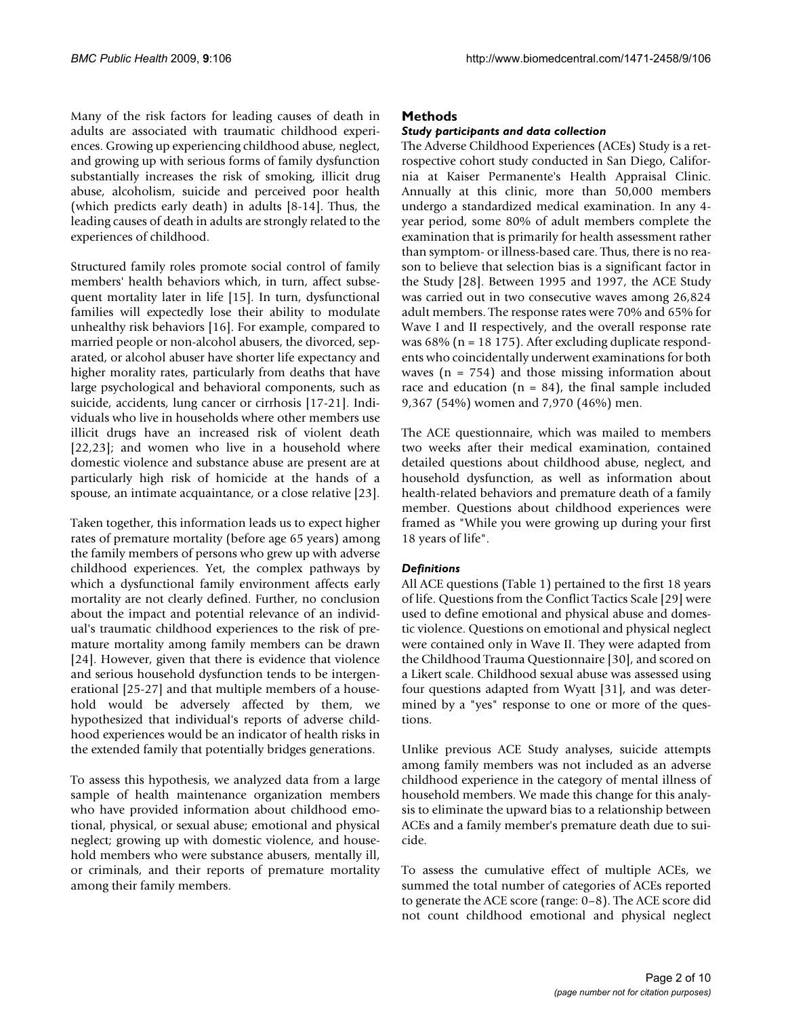Many of the risk factors for leading causes of death in adults are associated with traumatic childhood experiences. Growing up experiencing childhood abuse, neglect, and growing up with serious forms of family dysfunction substantially increases the risk of smoking, illicit drug abuse, alcoholism, suicide and perceived poor health (which predicts early death) in adults [8-14]. Thus, the leading causes of death in adults are strongly related to the experiences of childhood.

Structured family roles promote social control of family members' health behaviors which, in turn, affect subsequent mortality later in life [15]. In turn, dysfunctional families will expectedly lose their ability to modulate unhealthy risk behaviors [16]. For example, compared to married people or non-alcohol abusers, the divorced, separated, or alcohol abuser have shorter life expectancy and higher morality rates, particularly from deaths that have large psychological and behavioral components, such as suicide, accidents, lung cancer or cirrhosis [17-21]. Individuals who live in households where other members use illicit drugs have an increased risk of violent death [22,23]; and women who live in a household where domestic violence and substance abuse are present are at particularly high risk of homicide at the hands of a spouse, an intimate acquaintance, or a close relative [23].

Taken together, this information leads us to expect higher rates of premature mortality (before age 65 years) among the family members of persons who grew up with adverse childhood experiences. Yet, the complex pathways by which a dysfunctional family environment affects early mortality are not clearly defined. Further, no conclusion about the impact and potential relevance of an individual's traumatic childhood experiences to the risk of premature mortality among family members can be drawn [24]. However, given that there is evidence that violence and serious household dysfunction tends to be intergenerational [25-27] and that multiple members of a household would be adversely affected by them, we hypothesized that individual's reports of adverse childhood experiences would be an indicator of health risks in the extended family that potentially bridges generations.

To assess this hypothesis, we analyzed data from a large sample of health maintenance organization members who have provided information about childhood emotional, physical, or sexual abuse; emotional and physical neglect; growing up with domestic violence, and household members who were substance abusers, mentally ill, or criminals, and their reports of premature mortality among their family members.

# **Methods**

#### *Study participants and data collection*

The Adverse Childhood Experiences (ACEs) Study is a retrospective cohort study conducted in San Diego, California at Kaiser Permanente's Health Appraisal Clinic. Annually at this clinic, more than 50,000 members undergo a standardized medical examination. In any 4 year period, some 80% of adult members complete the examination that is primarily for health assessment rather than symptom- or illness-based care. Thus, there is no reason to believe that selection bias is a significant factor in the Study [28]. Between 1995 and 1997, the ACE Study was carried out in two consecutive waves among 26,824 adult members. The response rates were 70% and 65% for Wave I and II respectively, and the overall response rate was 68% (n = 18 175). After excluding duplicate respondents who coincidentally underwent examinations for both waves  $(n = 754)$  and those missing information about race and education ( $n = 84$ ), the final sample included 9,367 (54%) women and 7,970 (46%) men.

The ACE questionnaire, which was mailed to members two weeks after their medical examination, contained detailed questions about childhood abuse, neglect, and household dysfunction, as well as information about health-related behaviors and premature death of a family member. Questions about childhood experiences were framed as "While you were growing up during your first 18 years of life".

# *Definitions*

All ACE questions (Table 1) pertained to the first 18 years of life. Questions from the Conflict Tactics Scale [29] were used to define emotional and physical abuse and domestic violence. Questions on emotional and physical neglect were contained only in Wave II. They were adapted from the Childhood Trauma Questionnaire [30], and scored on a Likert scale. Childhood sexual abuse was assessed using four questions adapted from Wyatt [31], and was determined by a "yes" response to one or more of the questions.

Unlike previous ACE Study analyses, suicide attempts among family members was not included as an adverse childhood experience in the category of mental illness of household members. We made this change for this analysis to eliminate the upward bias to a relationship between ACEs and a family member's premature death due to suicide.

To assess the cumulative effect of multiple ACEs, we summed the total number of categories of ACEs reported to generate the ACE score (range: 0–8). The ACE score did not count childhood emotional and physical neglect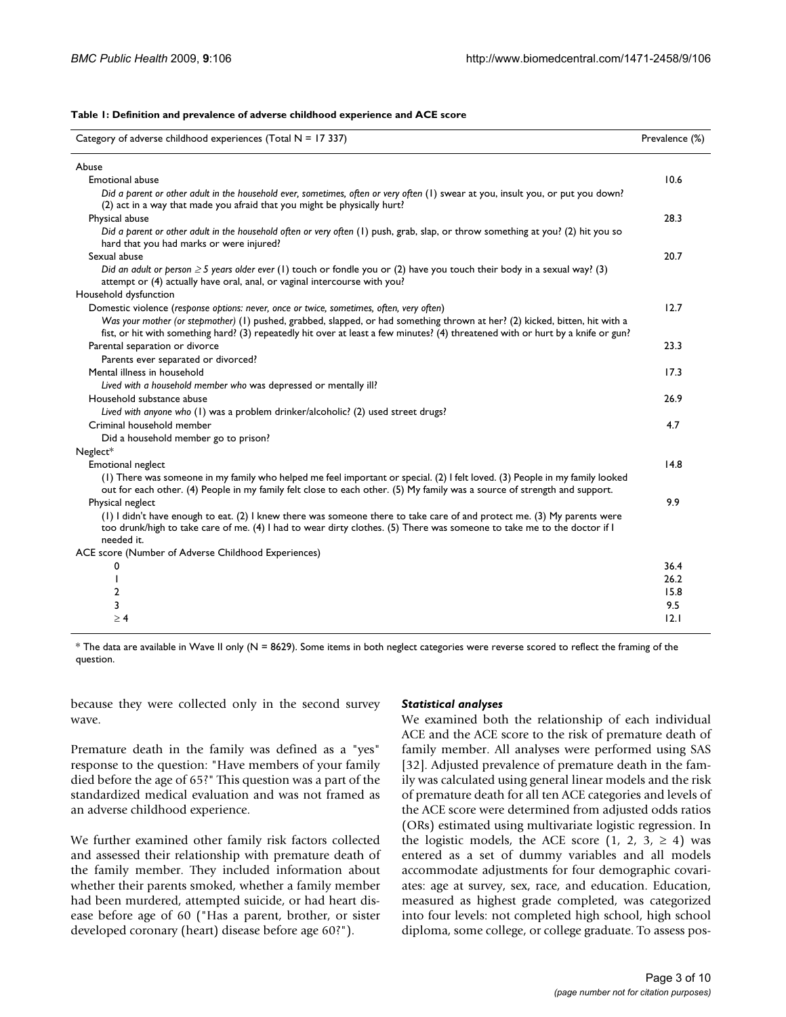#### **Table 1: Definition and prevalence of adverse childhood experience and ACE score**

| Category of adverse childhood experiences (Total $N = 17337$ )                                                                                                                                                                                                   | Prevalence (%) |
|------------------------------------------------------------------------------------------------------------------------------------------------------------------------------------------------------------------------------------------------------------------|----------------|
| Abuse                                                                                                                                                                                                                                                            |                |
| Emotional abuse                                                                                                                                                                                                                                                  | 10.6           |
| Did a parent or other adult in the household ever, sometimes, often or very often (1) swear at you, insult you, or put you down?<br>(2) act in a way that made you afraid that you might be physically hurt?                                                     |                |
| Physical abuse                                                                                                                                                                                                                                                   | 28.3           |
| Did a parent or other adult in the household often or very often (1) push, grab, slap, or throw something at you? (2) hit you so<br>hard that you had marks or were injured?                                                                                     |                |
| Sexual abuse                                                                                                                                                                                                                                                     | 20.7           |
| Did an adult or person $\geq 5$ years older ever (1) touch or fondle you or (2) have you touch their body in a sexual way? (3)<br>attempt or (4) actually have oral, anal, or vaginal intercourse with you?                                                      |                |
| Household dysfunction                                                                                                                                                                                                                                            |                |
| Domestic violence (response options: never, once or twice, sometimes, often, very often)                                                                                                                                                                         | 12.7           |
| Was your mother (or stepmother) (1) pushed, grabbed, slapped, or had something thrown at her? (2) kicked, bitten, hit with a<br>fist, or hit with something hard? (3) repeatedly hit over at least a few minutes? (4) threatened with or hurt by a knife or gun? |                |
| Parental separation or divorce                                                                                                                                                                                                                                   | 23.3           |
| Parents ever separated or divorced?                                                                                                                                                                                                                              |                |
| Mental illness in household                                                                                                                                                                                                                                      | 17.3           |
| Lived with a household member who was depressed or mentally ill?                                                                                                                                                                                                 |                |
| Household substance abuse                                                                                                                                                                                                                                        | 26.9           |
| Lived with anyone who (1) was a problem drinker/alcoholic? (2) used street drugs?                                                                                                                                                                                |                |
| Criminal household member                                                                                                                                                                                                                                        | 4.7            |
| Did a household member go to prison?                                                                                                                                                                                                                             |                |
| Neglect*                                                                                                                                                                                                                                                         |                |
| <b>Emotional neglect</b>                                                                                                                                                                                                                                         | 14.8           |
| (1) There was someone in my family who helped me feel important or special. (2) I felt loved. (3) People in my family looked<br>out for each other. (4) People in my family felt close to each other. (5) My family was a source of strength and support.        |                |
| Physical neglect                                                                                                                                                                                                                                                 | 9.9            |
| (I) I didn't have enough to eat. (2) I knew there was someone there to take care of and protect me. (3) My parents were<br>too drunk/high to take care of me. (4) I had to wear dirty clothes. (5) There was someone to take me to the doctor if I<br>needed it. |                |
| ACE score (Number of Adverse Childhood Experiences)                                                                                                                                                                                                              |                |
| 0                                                                                                                                                                                                                                                                | 36.4           |
|                                                                                                                                                                                                                                                                  | 26.2           |
| 2                                                                                                                                                                                                                                                                | 15.8           |
| 3                                                                                                                                                                                                                                                                | 9.5            |
| > 4                                                                                                                                                                                                                                                              | 12.1           |
|                                                                                                                                                                                                                                                                  |                |

\* The data are available in Wave II only (N = 8629). Some items in both neglect categories were reverse scored to reflect the framing of the question.

because they were collected only in the second survey wave.

Premature death in the family was defined as a "yes" response to the question: "Have members of your family died before the age of 65?" This question was a part of the standardized medical evaluation and was not framed as an adverse childhood experience.

We further examined other family risk factors collected and assessed their relationship with premature death of the family member. They included information about whether their parents smoked, whether a family member had been murdered, attempted suicide, or had heart disease before age of 60 ("Has a parent, brother, or sister developed coronary (heart) disease before age 60?").

#### *Statistical analyses*

We examined both the relationship of each individual ACE and the ACE score to the risk of premature death of family member. All analyses were performed using SAS [32]. Adjusted prevalence of premature death in the family was calculated using general linear models and the risk of premature death for all ten ACE categories and levels of the ACE score were determined from adjusted odds ratios (ORs) estimated using multivariate logistic regression. In the logistic models, the ACE score  $(1, 2, 3, \ge 4)$  was entered as a set of dummy variables and all models accommodate adjustments for four demographic covariates: age at survey, sex, race, and education. Education, measured as highest grade completed, was categorized into four levels: not completed high school, high school diploma, some college, or college graduate. To assess pos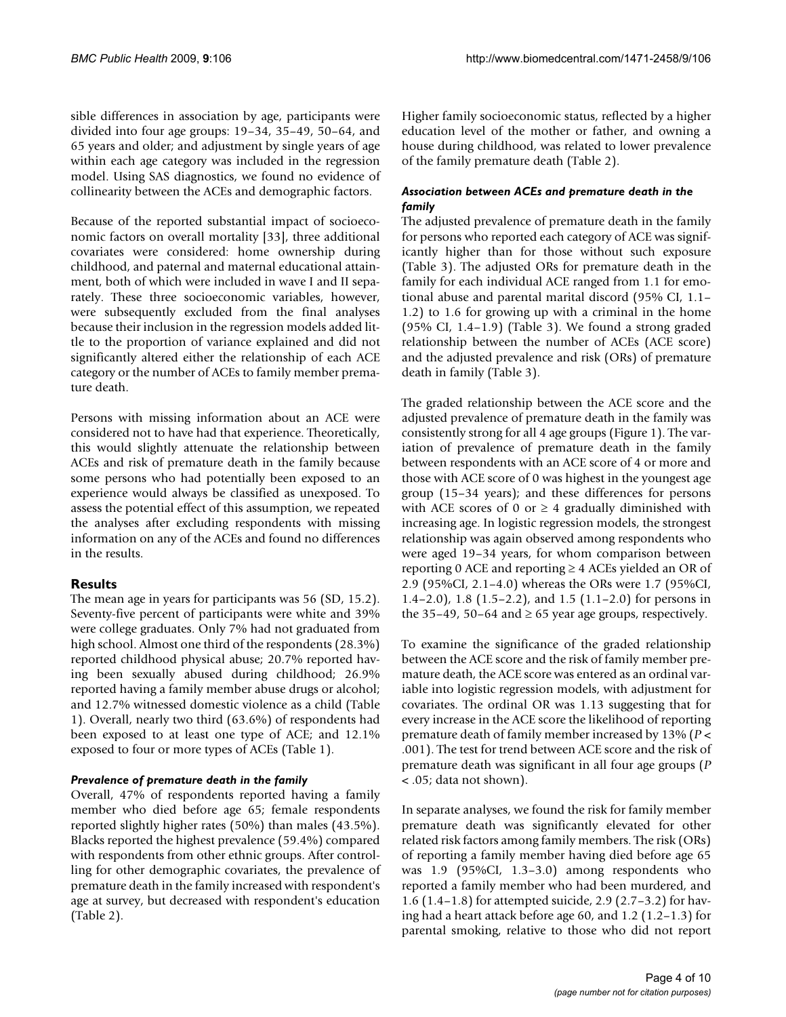sible differences in association by age, participants were divided into four age groups: 19–34, 35–49, 50–64, and 65 years and older; and adjustment by single years of age within each age category was included in the regression model. Using SAS diagnostics, we found no evidence of collinearity between the ACEs and demographic factors.

Because of the reported substantial impact of socioeconomic factors on overall mortality [33], three additional covariates were considered: home ownership during childhood, and paternal and maternal educational attainment, both of which were included in wave I and II separately. These three socioeconomic variables, however, were subsequently excluded from the final analyses because their inclusion in the regression models added little to the proportion of variance explained and did not significantly altered either the relationship of each ACE category or the number of ACEs to family member premature death.

Persons with missing information about an ACE were considered not to have had that experience. Theoretically, this would slightly attenuate the relationship between ACEs and risk of premature death in the family because some persons who had potentially been exposed to an experience would always be classified as unexposed. To assess the potential effect of this assumption, we repeated the analyses after excluding respondents with missing information on any of the ACEs and found no differences in the results.

# **Results**

The mean age in years for participants was 56 (SD, 15.2). Seventy-five percent of participants were white and 39% were college graduates. Only 7% had not graduated from high school. Almost one third of the respondents (28.3%) reported childhood physical abuse; 20.7% reported having been sexually abused during childhood; 26.9% reported having a family member abuse drugs or alcohol; and 12.7% witnessed domestic violence as a child (Table 1). Overall, nearly two third (63.6%) of respondents had been exposed to at least one type of ACE; and 12.1% exposed to four or more types of ACEs (Table 1).

# *Prevalence of premature death in the family*

Overall, 47% of respondents reported having a family member who died before age 65; female respondents reported slightly higher rates (50%) than males (43.5%). Blacks reported the highest prevalence (59.4%) compared with respondents from other ethnic groups. After controlling for other demographic covariates, the prevalence of premature death in the family increased with respondent's age at survey, but decreased with respondent's education (Table 2).

Higher family socioeconomic status, reflected by a higher education level of the mother or father, and owning a house during childhood, was related to lower prevalence of the family premature death (Table 2).

# *Association between ACEs and premature death in the family*

The adjusted prevalence of premature death in the family for persons who reported each category of ACE was significantly higher than for those without such exposure (Table 3). The adjusted ORs for premature death in the family for each individual ACE ranged from 1.1 for emotional abuse and parental marital discord (95% CI, 1.1– 1.2) to 1.6 for growing up with a criminal in the home (95% CI, 1.4–1.9) (Table 3). We found a strong graded relationship between the number of ACEs (ACE score) and the adjusted prevalence and risk (ORs) of premature death in family (Table 3).

The graded relationship between the ACE score and the adjusted prevalence of premature death in the family was consistently strong for all 4 age groups (Figure 1). The variation of prevalence of premature death in the family between respondents with an ACE score of 4 or more and those with ACE score of 0 was highest in the youngest age group (15–34 years); and these differences for persons with ACE scores of 0 or  $\geq$  4 gradually diminished with increasing age. In logistic regression models, the strongest relationship was again observed among respondents who were aged 19–34 years, for whom comparison between reporting 0 ACE and reporting  $\geq$  4 ACEs yielded an OR of 2.9 (95%CI, 2.1–4.0) whereas the ORs were 1.7 (95%CI, 1.4–2.0), 1.8 (1.5–2.2), and 1.5 (1.1–2.0) for persons in the 35–49, 50–64 and  $\geq$  65 year age groups, respectively.

To examine the significance of the graded relationship between the ACE score and the risk of family member premature death, the ACE score was entered as an ordinal variable into logistic regression models, with adjustment for covariates. The ordinal OR was 1.13 suggesting that for every increase in the ACE score the likelihood of reporting premature death of family member increased by 13% (*P* < .001). The test for trend between ACE score and the risk of premature death was significant in all four age groups (*P* < .05; data not shown).

In separate analyses, we found the risk for family member premature death was significantly elevated for other related risk factors among family members. The risk (ORs) of reporting a family member having died before age 65 was 1.9 (95%CI, 1.3–3.0) among respondents who reported a family member who had been murdered, and 1.6 (1.4–1.8) for attempted suicide, 2.9 (2.7–3.2) for having had a heart attack before age 60, and 1.2 (1.2–1.3) for parental smoking, relative to those who did not report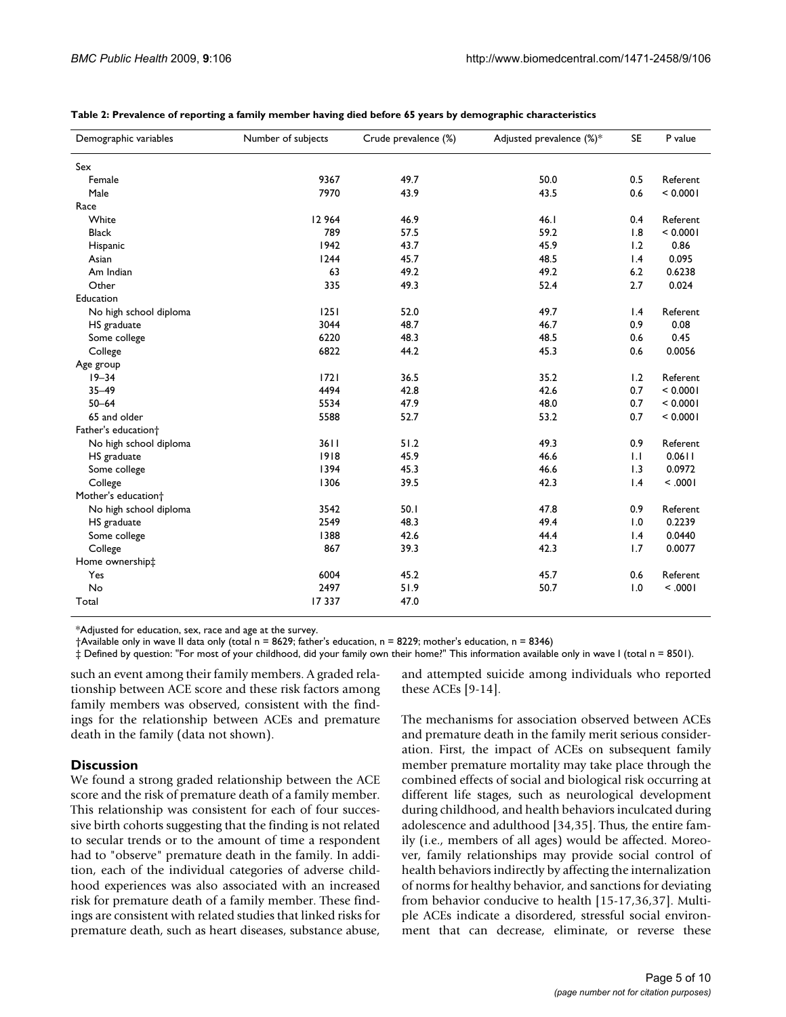| Demographic variables           | Number of subjects | Crude prevalence (%) | Adjusted prevalence (%)* | SE  | P value  |
|---------------------------------|--------------------|----------------------|--------------------------|-----|----------|
| Sex                             |                    |                      |                          |     |          |
| Female                          | 9367               | 49.7                 | 50.0                     | 0.5 | Referent |
| Male                            | 7970               | 43.9                 | 43.5                     | 0.6 | < 0.0001 |
| Race                            |                    |                      |                          |     |          |
| White                           | 12 964             | 46.9                 | 46.1                     | 0.4 | Referent |
| <b>Black</b>                    | 789                | 57.5                 | 59.2                     | 1.8 | < 0.0001 |
| Hispanic                        | 1942               | 43.7                 | 45.9                     | 1.2 | 0.86     |
| Asian                           | 1244               | 45.7                 | 48.5                     | 1.4 | 0.095    |
| Am Indian                       | 63                 | 49.2                 | 49.2                     | 6.2 | 0.6238   |
| Other                           | 335                | 49.3                 | 52.4                     | 2.7 | 0.024    |
| Education                       |                    |                      |                          |     |          |
| No high school diploma          | 1251               | 52.0                 | 49.7                     | 1.4 | Referent |
| HS graduate                     | 3044               | 48.7                 | 46.7                     | 0.9 | 0.08     |
| Some college                    | 6220               | 48.3                 | 48.5                     | 0.6 | 0.45     |
| College                         | 6822               | 44.2                 | 45.3                     | 0.6 | 0.0056   |
| Age group                       |                    |                      |                          |     |          |
| $19 - 34$                       | 1721               | 36.5                 | 35.2                     | 1.2 | Referent |
| $35 - 49$                       | 4494               | 42.8                 | 42.6                     | 0.7 | < 0.0001 |
| $50 - 64$                       | 5534               | 47.9                 | 48.0                     | 0.7 | < 0.0001 |
| 65 and older                    | 5588               | 52.7                 | 53.2                     | 0.7 | < 0.0001 |
| Father's education <sup>+</sup> |                    |                      |                          |     |          |
| No high school diploma          | 3611               | 51.2                 | 49.3                     | 0.9 | Referent |
| HS graduate                     | 1918               | 45.9                 | 46.6                     | 1.1 | 0.0611   |
| Some college                    | 1394               | 45.3                 | 46.6                     | 1.3 | 0.0972   |
| College                         | 1306               | 39.5                 | 42.3                     | 1.4 | < 0.001  |
| Mother's education <sup>+</sup> |                    |                      |                          |     |          |
| No high school diploma          | 3542               | 50.1                 | 47.8                     | 0.9 | Referent |
| HS graduate                     | 2549               | 48.3                 | 49.4                     | 1.0 | 0.2239   |
| Some college                    | 1388               | 42.6                 | 44.4                     | 1.4 | 0.0440   |
| College                         | 867                | 39.3                 | 42.3                     | 1.7 | 0.0077   |
| Home ownership‡                 |                    |                      |                          |     |          |
| Yes                             | 6004               | 45.2                 | 45.7                     | 0.6 | Referent |
| No                              | 2497               | 51.9                 | 50.7                     | 1.0 | < 0.001  |
| Total                           | 17337              | 47.0                 |                          |     |          |

#### **Table 2: Prevalence of reporting a family member having died before 65 years by demographic characteristics**

\*Adjusted for education, sex, race and age at the survey.

†Available only in wave II data only (total n = 8629; father's education, n = 8229; mother's education, n = 8346)

‡ Defined by question: "For most of your childhood, did your family own their home?" This information available only in wave I (total n = 8501).

such an event among their family members. A graded relationship between ACE score and these risk factors among family members was observed, consistent with the findings for the relationship between ACEs and premature death in the family (data not shown).

#### **Discussion**

We found a strong graded relationship between the ACE score and the risk of premature death of a family member. This relationship was consistent for each of four successive birth cohorts suggesting that the finding is not related to secular trends or to the amount of time a respondent had to "observe" premature death in the family. In addition, each of the individual categories of adverse childhood experiences was also associated with an increased risk for premature death of a family member. These findings are consistent with related studies that linked risks for premature death, such as heart diseases, substance abuse,

and attempted suicide among individuals who reported these ACEs [9-14].

The mechanisms for association observed between ACEs and premature death in the family merit serious consideration. First, the impact of ACEs on subsequent family member premature mortality may take place through the combined effects of social and biological risk occurring at different life stages, such as neurological development during childhood, and health behaviors inculcated during adolescence and adulthood [34,35]. Thus, the entire family (i.e., members of all ages) would be affected. Moreover, family relationships may provide social control of health behaviors indirectly by affecting the internalization of norms for healthy behavior, and sanctions for deviating from behavior conducive to health [15-17,36,37]. Multiple ACEs indicate a disordered, stressful social environment that can decrease, eliminate, or reverse these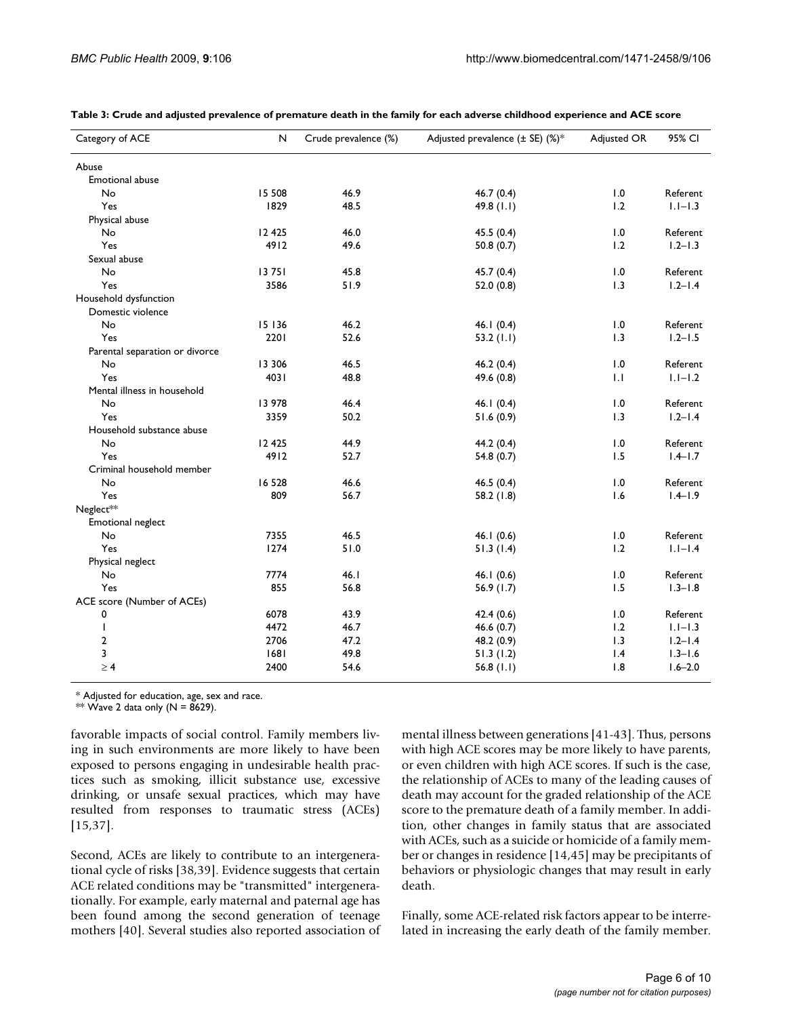| Category of ACE                | N       | Crude prevalence (%) | Adjusted prevalence $(\pm$ SE) (%)* | Adjusted OR | 95% CI      |
|--------------------------------|---------|----------------------|-------------------------------------|-------------|-------------|
| Abuse                          |         |                      |                                     |             |             |
| <b>Emotional abuse</b>         |         |                      |                                     |             |             |
| No                             | 15 508  | 46.9                 | 46.7(0.4)                           | 1.0         | Referent    |
| Yes                            | 1829    | 48.5                 | 49.8 $(1.1)$                        | 1.2         | $1.1 - 1.3$ |
| Physical abuse                 |         |                      |                                     |             |             |
| No                             | 12 4 25 | 46.0                 | 45.5(0.4)                           | 1.0         | Referent    |
| Yes                            | 4912    | 49.6                 | 50.8(0.7)                           | 1.2         | $1.2 - 1.3$ |
| Sexual abuse                   |         |                      |                                     |             |             |
| No                             | 13751   | 45.8                 | 45.7(0.4)                           | 1.0         | Referent    |
| Yes                            | 3586    | 51.9                 | 52.0 (0.8)                          | 1.3         | $1.2 - 1.4$ |
| Household dysfunction          |         |                      |                                     |             |             |
| Domestic violence              |         |                      |                                     |             |             |
| No                             | 15 136  | 46.2                 | 46.1 $(0.4)$                        | 1.0         | Referent    |
| Yes                            | 2201    | 52.6                 | 53.2 $(1.1)$                        | 1.3         | $1.2 - 1.5$ |
| Parental separation or divorce |         |                      |                                     |             |             |
| No                             | 13 306  | 46.5                 | 46.2(0.4)                           | 1.0         | Referent    |
| Yes                            | 4031    | 48.8                 | 49.6 (0.8)                          | 1.1         | $1.1 - 1.2$ |
| Mental illness in household    |         |                      |                                     |             |             |
| No                             | 13 978  | 46.4                 | 46.1 $(0.4)$                        | 1.0         | Referent    |
| Yes                            | 3359    | 50.2                 | 51.6(0.9)                           | 1.3         | $1.2 - 1.4$ |
| Household substance abuse      |         |                      |                                     |             |             |
| No                             | 12 4 25 | 44.9                 | 44.2 (0.4)                          | 1.0         | Referent    |
| Yes                            | 4912    | 52.7                 | 54.8(0.7)                           | 1.5         | $1.4 - 1.7$ |
| Criminal household member      |         |                      |                                     |             |             |
| No                             | 16 5 28 | 46.6                 | 46.5(0.4)                           | 1.0         | Referent    |
| Yes                            | 809     | 56.7                 | 58.2 (1.8)                          | 1.6         | $1.4 - 1.9$ |
| Neglect <sup>**</sup>          |         |                      |                                     |             |             |
| Emotional neglect              |         |                      |                                     |             |             |
| No                             | 7355    | 46.5                 | 46.1(0.6)                           | 1.0         | Referent    |
| Yes                            | 1274    | 51.0                 | 51.3(1.4)                           | 1.2         | $1.1 - 1.4$ |
| Physical neglect               |         |                      |                                     |             |             |
| No                             | 7774    | 46.1                 | 46.1(0.6)                           | 1.0         | Referent    |
| Yes                            | 855     | 56.8                 | 56.9 (1.7)                          | 1.5         | $1.3 - 1.8$ |
| ACE score (Number of ACEs)     |         |                      |                                     |             |             |
| 0                              | 6078    | 43.9                 | 42.4(0.6)                           | 1.0         | Referent    |
| I.                             | 4472    | 46.7                 | 46.6(0.7)                           | 1.2         | $1.1 - 1.3$ |
| $\overline{2}$                 | 2706    | 47.2                 | 48.2 (0.9)                          | 1.3         | $1.2 - 1.4$ |
| 3                              | 1681    | 49.8                 | 51.3(1.2)                           | 1.4         | $1.3 - 1.6$ |
| $\geq 4$                       | 2400    | 54.6                 | 56.8 $(1.1)$                        | 1.8         | $1.6 - 2.0$ |
|                                |         |                      |                                     |             |             |

| Table 3: Crude and adjusted prevalence of premature death in the family for each adverse childhood experience and ACE score |  |  |  |
|-----------------------------------------------------------------------------------------------------------------------------|--|--|--|
|-----------------------------------------------------------------------------------------------------------------------------|--|--|--|

\* Adjusted for education, age, sex and race.

\*\* Wave 2 data only ( $N = 8629$ ).

favorable impacts of social control. Family members living in such environments are more likely to have been exposed to persons engaging in undesirable health practices such as smoking, illicit substance use, excessive drinking, or unsafe sexual practices, which may have resulted from responses to traumatic stress (ACEs) [15,37].

Second, ACEs are likely to contribute to an intergenerational cycle of risks [38,39]. Evidence suggests that certain ACE related conditions may be "transmitted" intergenerationally. For example, early maternal and paternal age has been found among the second generation of teenage mothers [40]. Several studies also reported association of mental illness between generations [41-43]. Thus, persons with high ACE scores may be more likely to have parents, or even children with high ACE scores. If such is the case, the relationship of ACEs to many of the leading causes of death may account for the graded relationship of the ACE score to the premature death of a family member. In addition, other changes in family status that are associated with ACEs, such as a suicide or homicide of a family member or changes in residence [14,45] may be precipitants of behaviors or physiologic changes that may result in early death.

Finally, some ACE-related risk factors appear to be interrelated in increasing the early death of the family member.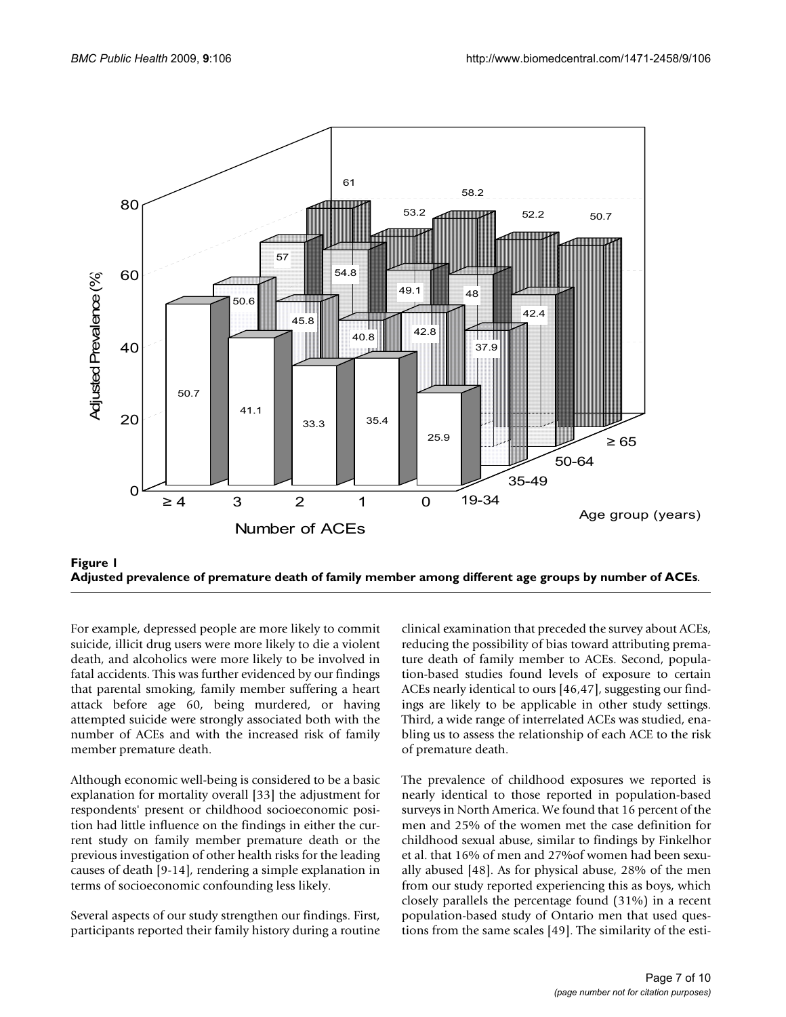

**Adjusted prevalence of premature death of family member among different age groups by number of ACEs**.

For example, depressed people are more likely to commit suicide, illicit drug users were more likely to die a violent death, and alcoholics were more likely to be involved in fatal accidents. This was further evidenced by our findings that parental smoking, family member suffering a heart attack before age 60, being murdered, or having attempted suicide were strongly associated both with the number of ACEs and with the increased risk of family member premature death.

Although economic well-being is considered to be a basic explanation for mortality overall [33] the adjustment for respondents' present or childhood socioeconomic position had little influence on the findings in either the current study on family member premature death or the previous investigation of other health risks for the leading causes of death [9-14], rendering a simple explanation in terms of socioeconomic confounding less likely.

Several aspects of our study strengthen our findings. First, participants reported their family history during a routine clinical examination that preceded the survey about ACEs, reducing the possibility of bias toward attributing premature death of family member to ACEs. Second, population-based studies found levels of exposure to certain ACEs nearly identical to ours [46,47], suggesting our findings are likely to be applicable in other study settings. Third, a wide range of interrelated ACEs was studied, enabling us to assess the relationship of each ACE to the risk of premature death.

The prevalence of childhood exposures we reported is nearly identical to those reported in population-based surveys in North America. We found that 16 percent of the men and 25% of the women met the case definition for childhood sexual abuse, similar to findings by Finkelhor et al. that 16% of men and 27%of women had been sexually abused [48]. As for physical abuse, 28% of the men from our study reported experiencing this as boys, which closely parallels the percentage found (31%) in a recent population-based study of Ontario men that used questions from the same scales [49]. The similarity of the esti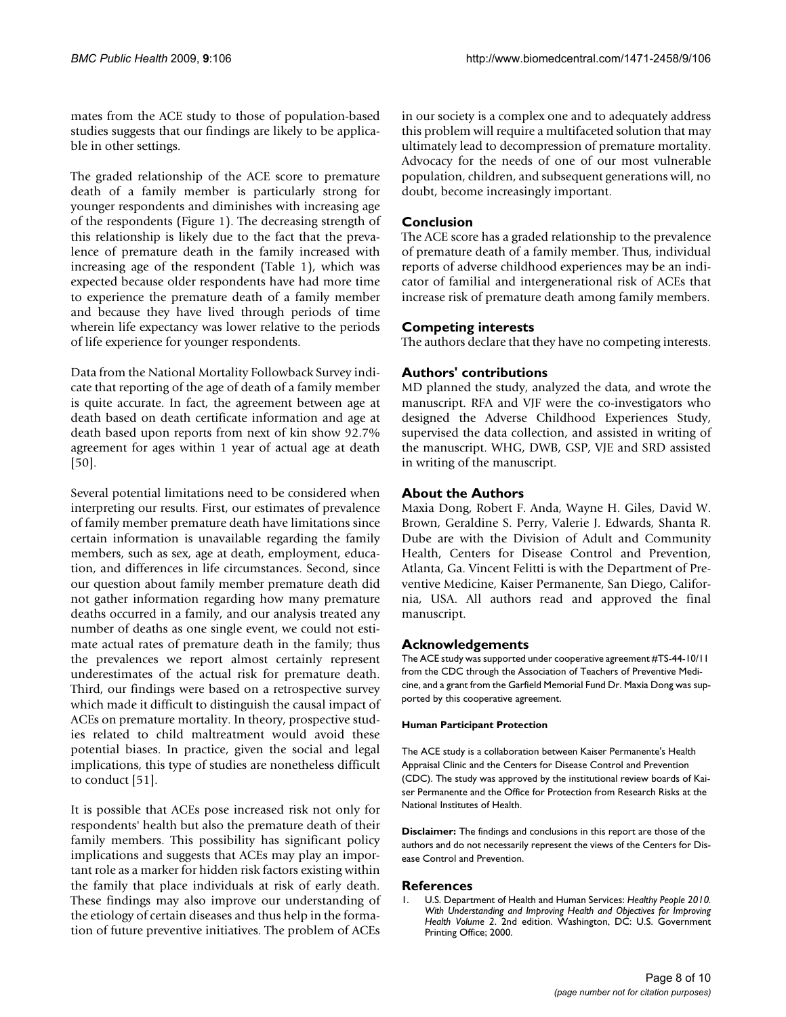mates from the ACE study to those of population-based studies suggests that our findings are likely to be applicable in other settings.

The graded relationship of the ACE score to premature death of a family member is particularly strong for younger respondents and diminishes with increasing age of the respondents (Figure 1). The decreasing strength of this relationship is likely due to the fact that the prevalence of premature death in the family increased with increasing age of the respondent (Table 1), which was expected because older respondents have had more time to experience the premature death of a family member and because they have lived through periods of time wherein life expectancy was lower relative to the periods of life experience for younger respondents.

Data from the National Mortality Followback Survey indicate that reporting of the age of death of a family member is quite accurate. In fact, the agreement between age at death based on death certificate information and age at death based upon reports from next of kin show 92.7% agreement for ages within 1 year of actual age at death [50].

Several potential limitations need to be considered when interpreting our results. First, our estimates of prevalence of family member premature death have limitations since certain information is unavailable regarding the family members, such as sex, age at death, employment, education, and differences in life circumstances. Second, since our question about family member premature death did not gather information regarding how many premature deaths occurred in a family, and our analysis treated any number of deaths as one single event, we could not estimate actual rates of premature death in the family; thus the prevalences we report almost certainly represent underestimates of the actual risk for premature death. Third, our findings were based on a retrospective survey which made it difficult to distinguish the causal impact of ACEs on premature mortality. In theory, prospective studies related to child maltreatment would avoid these potential biases. In practice, given the social and legal implications, this type of studies are nonetheless difficult to conduct [51].

It is possible that ACEs pose increased risk not only for respondents' health but also the premature death of their family members. This possibility has significant policy implications and suggests that ACEs may play an important role as a marker for hidden risk factors existing within the family that place individuals at risk of early death. These findings may also improve our understanding of the etiology of certain diseases and thus help in the formation of future preventive initiatives. The problem of ACEs in our society is a complex one and to adequately address this problem will require a multifaceted solution that may ultimately lead to decompression of premature mortality. Advocacy for the needs of one of our most vulnerable population, children, and subsequent generations will, no doubt, become increasingly important.

# **Conclusion**

The ACE score has a graded relationship to the prevalence of premature death of a family member. Thus, individual reports of adverse childhood experiences may be an indicator of familial and intergenerational risk of ACEs that increase risk of premature death among family members.

# **Competing interests**

The authors declare that they have no competing interests.

# **Authors' contributions**

MD planned the study, analyzed the data, and wrote the manuscript. RFA and VJF were the co-investigators who designed the Adverse Childhood Experiences Study, supervised the data collection, and assisted in writing of the manuscript. WHG, DWB, GSP, VJE and SRD assisted in writing of the manuscript.

# **About the Authors**

Maxia Dong, Robert F. Anda, Wayne H. Giles, David W. Brown, Geraldine S. Perry, Valerie J. Edwards, Shanta R. Dube are with the Division of Adult and Community Health, Centers for Disease Control and Prevention, Atlanta, Ga. Vincent Felitti is with the Department of Preventive Medicine, Kaiser Permanente, San Diego, California, USA. All authors read and approved the final manuscript.

# **Acknowledgements**

The ACE study was supported under cooperative agreement #TS-44-10/11 from the CDC through the Association of Teachers of Preventive Medicine, and a grant from the Garfield Memorial Fund Dr. Maxia Dong was supported by this cooperative agreement.

#### **Human Participant Protection**

The ACE study is a collaboration between Kaiser Permanente's Health Appraisal Clinic and the Centers for Disease Control and Prevention (CDC). The study was approved by the institutional review boards of Kaiser Permanente and the Office for Protection from Research Risks at the National Institutes of Health.

**Disclaimer:** The findings and conclusions in this report are those of the authors and do not necessarily represent the views of the Centers for Disease Control and Prevention.

# **References**

1. U.S. Department of Health and Human Services: *Healthy People 2010. With Understanding and Improving Health and Objectives for Improving Health Volume 2*. 2nd edition. Washington, DC: U.S. Government Printing Office; 2000.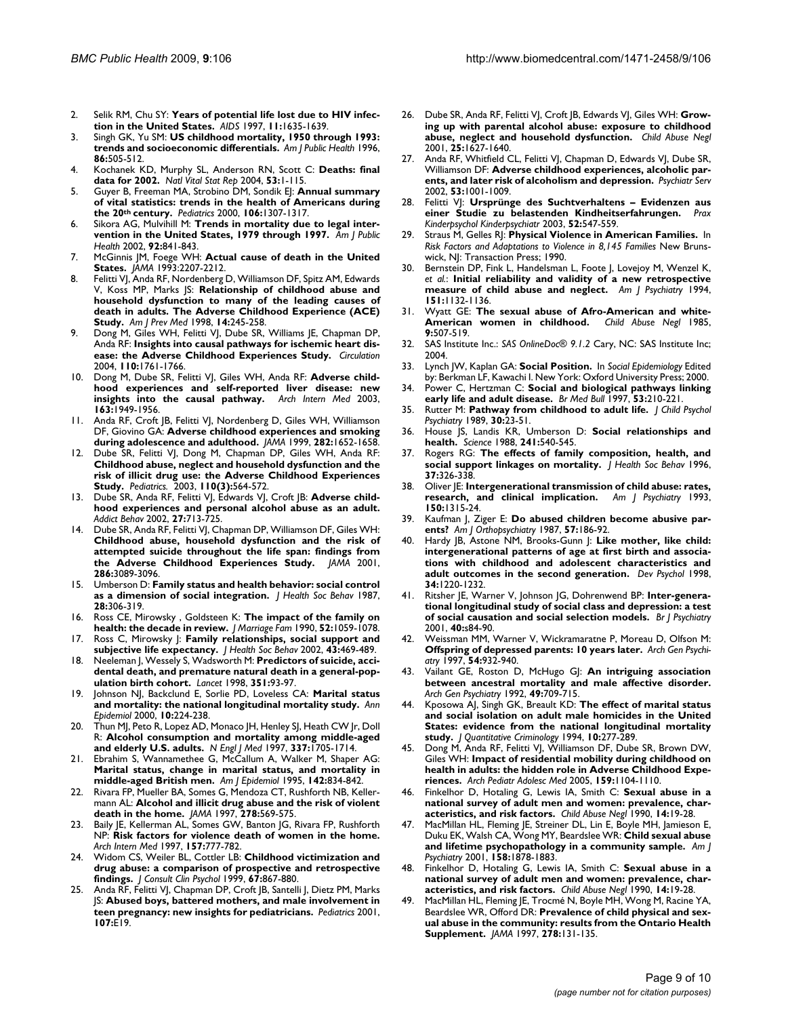- 2. Selik RM, Chu SY: **[Years of potential life lost due to HIV infec](http://www.ncbi.nlm.nih.gov/entrez/query.fcgi?cmd=Retrieve&db=PubMed&dopt=Abstract&list_uids=9365769)[tion in the United States.](http://www.ncbi.nlm.nih.gov/entrez/query.fcgi?cmd=Retrieve&db=PubMed&dopt=Abstract&list_uids=9365769)** *AIDS* 1997, **11:**1635-1639.
- 3. Singh GK, Yu SM: **[US childhood mortality, 1950 through 1993:](http://www.ncbi.nlm.nih.gov/entrez/query.fcgi?cmd=Retrieve&db=PubMed&dopt=Abstract&list_uids=8604780) [trends and socioeconomic differentials.](http://www.ncbi.nlm.nih.gov/entrez/query.fcgi?cmd=Retrieve&db=PubMed&dopt=Abstract&list_uids=8604780)** *Am J Public Health* 1996, **86:**505-512.
- 4. Kochanek KD, Murphy SL, Anderson RN, Scott C: **[Deaths: final](http://www.ncbi.nlm.nih.gov/entrez/query.fcgi?cmd=Retrieve&db=PubMed&dopt=Abstract&list_uids=15587328) [data for 2002.](http://www.ncbi.nlm.nih.gov/entrez/query.fcgi?cmd=Retrieve&db=PubMed&dopt=Abstract&list_uids=15587328)** *Natl Vital Stat Rep* 2004, **53:**1-115.
- 5. Guyer B, Freeman MA, Strobino DM, Sondik EJ: **Annual summary of vital statistics: trends in the health of Americans during the 20th [century.](http://www.ncbi.nlm.nih.gov/entrez/query.fcgi?cmd=Retrieve&db=PubMed&dopt=Abstract&list_uids=11099582)** *Pediatrics* 2000, **106:**1307-1317.
- 6. Sikora AG, Mulvihill M: **[Trends in mortality due to legal inter](http://www.ncbi.nlm.nih.gov/entrez/query.fcgi?cmd=Retrieve&db=PubMed&dopt=Abstract&list_uids=11988457)[vention in the United States, 1979 through 1997.](http://www.ncbi.nlm.nih.gov/entrez/query.fcgi?cmd=Retrieve&db=PubMed&dopt=Abstract&list_uids=11988457)** *Am J Public Health* 2002, **92:**841-843.
- 7. McGinnis JM, Foege WH: **[Actual cause of death in the United](http://www.ncbi.nlm.nih.gov/entrez/query.fcgi?cmd=Retrieve&db=PubMed&dopt=Abstract&list_uids=8411605) [States.](http://www.ncbi.nlm.nih.gov/entrez/query.fcgi?cmd=Retrieve&db=PubMed&dopt=Abstract&list_uids=8411605)** *JAMA* 1993:2207-2212.
- 8. Felitti VJ, Anda RF, Nordenberg D, Williamson DF, Spitz AM, Edwards V, Koss MP, Marks JS: **[Relationship of childhood abuse and](http://www.ncbi.nlm.nih.gov/entrez/query.fcgi?cmd=Retrieve&db=PubMed&dopt=Abstract&list_uids=9635069) [household dysfunction to many of the leading causes of](http://www.ncbi.nlm.nih.gov/entrez/query.fcgi?cmd=Retrieve&db=PubMed&dopt=Abstract&list_uids=9635069) death in adults. The Adverse Childhood Experience (ACE) [Study.](http://www.ncbi.nlm.nih.gov/entrez/query.fcgi?cmd=Retrieve&db=PubMed&dopt=Abstract&list_uids=9635069)** *Am J Prev Med* 1998, **14:**245-258.
- 9. Dong M, Giles WH, Felitti VJ, Dube SR, Williams JE, Chapman DP, Anda RF: **[Insights into causal pathways for ischemic heart dis](http://www.ncbi.nlm.nih.gov/entrez/query.fcgi?cmd=Retrieve&db=PubMed&dopt=Abstract&list_uids=15381652)[ease: the Adverse Childhood Experiences Study.](http://www.ncbi.nlm.nih.gov/entrez/query.fcgi?cmd=Retrieve&db=PubMed&dopt=Abstract&list_uids=15381652)** *Circulation* 2004, **110:**1761-1766.
- 10. Dong M, Dube SR, Felitti VJ, Giles WH, Anda RF: **[Adverse child](http://www.ncbi.nlm.nih.gov/entrez/query.fcgi?cmd=Retrieve&db=PubMed&dopt=Abstract&list_uids=12963569)[hood experiences and self-reported liver disease: new](http://www.ncbi.nlm.nih.gov/entrez/query.fcgi?cmd=Retrieve&db=PubMed&dopt=Abstract&list_uids=12963569) [insights into the causal pathway.](http://www.ncbi.nlm.nih.gov/entrez/query.fcgi?cmd=Retrieve&db=PubMed&dopt=Abstract&list_uids=12963569)** *Arch Intern Med* 2003, **163:**1949-1956.
- 11. Anda RF, Croft JB, Felitti VJ, Nordenberg D, Giles WH, Williamson DF, Giovino GA: **[Adverse childhood experiences and smoking](http://www.ncbi.nlm.nih.gov/entrez/query.fcgi?cmd=Retrieve&db=PubMed&dopt=Abstract&list_uids=10553792) [during adolescence and adulthood.](http://www.ncbi.nlm.nih.gov/entrez/query.fcgi?cmd=Retrieve&db=PubMed&dopt=Abstract&list_uids=10553792)** *JAMA* 1999, **282:**1652-1658.
- 12. Dube SR, Felitti VJ, Dong M, Chapman DP, Giles WH, Anda RF: **Childhood abuse, neglect and household dysfunction and the risk of illicit drug use: the Adverse Childhood Experiences Study.** *Pediatrics.* 2003, **110(3):**564-572.
- 13. Dube SR, Anda RF, Felitti VJ, Edwards VJ, Croft JB: **[Adverse child](http://www.ncbi.nlm.nih.gov/entrez/query.fcgi?cmd=Retrieve&db=PubMed&dopt=Abstract&list_uids=12201379)[hood experiences and personal alcohol abuse as an adult.](http://www.ncbi.nlm.nih.gov/entrez/query.fcgi?cmd=Retrieve&db=PubMed&dopt=Abstract&list_uids=12201379)** *Addict Behav* 2002, **27:**713-725.
- 14. Dube SR, Anda RF, Felitti VJ, Chapman DP, Williamson DF, Giles WH: **[Childhood abuse, household dysfunction and the risk of](http://www.ncbi.nlm.nih.gov/entrez/query.fcgi?cmd=Retrieve&db=PubMed&dopt=Abstract&list_uids=11754674) attempted suicide throughout the life span: findings from [the Adverse Childhood Experiences Study.](http://www.ncbi.nlm.nih.gov/entrez/query.fcgi?cmd=Retrieve&db=PubMed&dopt=Abstract&list_uids=11754674)** *JAMA* 2001, **286:**3089-3096.
- 15. Umberson D: **[Family status and health behavior: social control](http://www.ncbi.nlm.nih.gov/entrez/query.fcgi?cmd=Retrieve&db=PubMed&dopt=Abstract&list_uids=3680922) [as a dimension of social integration.](http://www.ncbi.nlm.nih.gov/entrez/query.fcgi?cmd=Retrieve&db=PubMed&dopt=Abstract&list_uids=3680922)** *J Health Soc Behav* 1987, **28:**306-319.
- 16. Ross CE, Mirowsky , Goldsteen K: **The impact of the family on health: the decade in review.** *J Marriage Fam* 1990, **52:**1059-1078.
- 17. Ross C, Mirowsky J: **[Family relationships, social support and](http://www.ncbi.nlm.nih.gov/entrez/query.fcgi?cmd=Retrieve&db=PubMed&dopt=Abstract&list_uids=12664677) [subjective life expectancy.](http://www.ncbi.nlm.nih.gov/entrez/query.fcgi?cmd=Retrieve&db=PubMed&dopt=Abstract&list_uids=12664677)** *J Health Soc Behav* 2002, **43:**469-489.
- 18. Neeleman J, Wessely S, Wadsworth M: **[Predictors of suicide, acci](http://www.ncbi.nlm.nih.gov/entrez/query.fcgi?cmd=Retrieve&db=PubMed&dopt=Abstract&list_uids=9439493)[dental death, and premature natural death in a general-pop](http://www.ncbi.nlm.nih.gov/entrez/query.fcgi?cmd=Retrieve&db=PubMed&dopt=Abstract&list_uids=9439493)[ulation birth cohort.](http://www.ncbi.nlm.nih.gov/entrez/query.fcgi?cmd=Retrieve&db=PubMed&dopt=Abstract&list_uids=9439493)** *Lancet* 1998, **351:**93-97.
- 19. Johnson NJ, Backclund E, Sorlie PD, Loveless CA: **[Marital status](http://www.ncbi.nlm.nih.gov/entrez/query.fcgi?cmd=Retrieve&db=PubMed&dopt=Abstract&list_uids=10854957) [and mortality: the national longitudinal mortality study.](http://www.ncbi.nlm.nih.gov/entrez/query.fcgi?cmd=Retrieve&db=PubMed&dopt=Abstract&list_uids=10854957)** *Ann Epidemiol* 2000, **10:**224-238.
- 20. Thun MJ, Peto R, Lopez AD, Monaco JH, Henley SJ, Heath CW Jr, Doll R: **[Alcohol consumption and mortality among middle-aged](http://www.ncbi.nlm.nih.gov/entrez/query.fcgi?cmd=Retrieve&db=PubMed&dopt=Abstract&list_uids=9392695) [and elderly U.S. adults.](http://www.ncbi.nlm.nih.gov/entrez/query.fcgi?cmd=Retrieve&db=PubMed&dopt=Abstract&list_uids=9392695)** *N Engl J Med* 1997, **337:**1705-1714.
- 21. Ebrahim S, Wannamethee G, McCallum A, Walker M, Shaper AG: **[Marital status, change in marital status, and mortality in](http://www.ncbi.nlm.nih.gov/entrez/query.fcgi?cmd=Retrieve&db=PubMed&dopt=Abstract&list_uids=7572960) [middle-aged British men.](http://www.ncbi.nlm.nih.gov/entrez/query.fcgi?cmd=Retrieve&db=PubMed&dopt=Abstract&list_uids=7572960)** *Am J Epidemiol* 1995, **142:**834-842.
- 22. Rivara FP, Mueller BA, Somes G, Mendoza CT, Rushforth NB, Kellermann AL: **[Alcohol and illicit drug abuse and the risk of violent](http://www.ncbi.nlm.nih.gov/entrez/query.fcgi?cmd=Retrieve&db=PubMed&dopt=Abstract&list_uids=9268278) [death in the home.](http://www.ncbi.nlm.nih.gov/entrez/query.fcgi?cmd=Retrieve&db=PubMed&dopt=Abstract&list_uids=9268278)** *JAMA* 1997, **278:**569-575.
- 23. Baily JE, Kellerman AL, Somes GW, Banton JG, Rivara FP, Rushforth NP: **[Risk factors for violence death of women in the home.](http://www.ncbi.nlm.nih.gov/entrez/query.fcgi?cmd=Retrieve&db=PubMed&dopt=Abstract&list_uids=9125010)** *Arch Intern Med* 1997, **157:**777-782.
- 24. Widom CS, Weiler BL, Cottler LB: **[Childhood victimization and](http://www.ncbi.nlm.nih.gov/entrez/query.fcgi?cmd=Retrieve&db=PubMed&dopt=Abstract&list_uids=10596509) [drug abuse: a comparison of prospective and retrospective](http://www.ncbi.nlm.nih.gov/entrez/query.fcgi?cmd=Retrieve&db=PubMed&dopt=Abstract&list_uids=10596509) [findings.](http://www.ncbi.nlm.nih.gov/entrez/query.fcgi?cmd=Retrieve&db=PubMed&dopt=Abstract&list_uids=10596509)** *J Consult Clin Psychol* 1999, **67:**867-880.
- Anda RF, Felitti VJ, Chapman DP, Croft JB, Santelli J, Dietz PM, Marks JS: **[Abused boys, battered mothers, and male involvement in](http://www.ncbi.nlm.nih.gov/entrez/query.fcgi?cmd=Retrieve&db=PubMed&dopt=Abstract&list_uids=11158493) [teen pregnancy: new insights for pediatricians.](http://www.ncbi.nlm.nih.gov/entrez/query.fcgi?cmd=Retrieve&db=PubMed&dopt=Abstract&list_uids=11158493)** *Pediatrics* 2001, **107:**E19.
- 26. Dube SR, Anda RF, Felitti VJ, Croft JB, Edwards VJ, Giles WH: **[Grow](http://www.ncbi.nlm.nih.gov/entrez/query.fcgi?cmd=Retrieve&db=PubMed&dopt=Abstract&list_uids=11814159)[ing up with parental alcohol abuse: exposure to childhood](http://www.ncbi.nlm.nih.gov/entrez/query.fcgi?cmd=Retrieve&db=PubMed&dopt=Abstract&list_uids=11814159) [abuse, neglect and household dysfunction.](http://www.ncbi.nlm.nih.gov/entrez/query.fcgi?cmd=Retrieve&db=PubMed&dopt=Abstract&list_uids=11814159)** *Child Abuse Negl* 2001, **25:**1627-1640.
- 27. Anda RF, Whitfield CL, Felitti VJ, Chapman D, Edwards VJ, Dube SR, Williamson DF: **[Adverse childhood experiences, alcoholic par](http://www.ncbi.nlm.nih.gov/entrez/query.fcgi?cmd=Retrieve&db=PubMed&dopt=Abstract&list_uids=12161676)[ents, and later risk of alcoholism and depression.](http://www.ncbi.nlm.nih.gov/entrez/query.fcgi?cmd=Retrieve&db=PubMed&dopt=Abstract&list_uids=12161676)** *Psychiatr Serv* 2002, **53:**1001-1009.
- 28. Felitti VJ: **[Ursprünge des Suchtverhaltens Evidenzen aus](http://www.ncbi.nlm.nih.gov/entrez/query.fcgi?cmd=Retrieve&db=PubMed&dopt=Abstract&list_uids=14619682) [einer Studie zu belastenden Kindheitserfahrungen.](http://www.ncbi.nlm.nih.gov/entrez/query.fcgi?cmd=Retrieve&db=PubMed&dopt=Abstract&list_uids=14619682)** *Prax Kinderpsychol Kinderpsychiatr* 2003, **52:**547-559.
- 29. Straus M, Gelles RJ: **Physical Violence in American Families.** In *Risk Factors and Adaptations to Violence in 8,145 Families* New Brunswick, NJ: Transaction Press; 1990.
- 30. Bernstein DP, Fink L, Handelsman L, Foote J, Lovejoy M, Wenzel K, *et al.*: **[Initial reliability and validity of a new retrospective](http://www.ncbi.nlm.nih.gov/entrez/query.fcgi?cmd=Retrieve&db=PubMed&dopt=Abstract&list_uids=8037246) [measure of child abuse and neglect.](http://www.ncbi.nlm.nih.gov/entrez/query.fcgi?cmd=Retrieve&db=PubMed&dopt=Abstract&list_uids=8037246)** *Am J Psychiatry* 1994, **151:**1132-1136.
- 31. Wyatt GE: **[The sexual abuse of Afro-American and white-](http://www.ncbi.nlm.nih.gov/entrez/query.fcgi?cmd=Retrieve&db=PubMed&dopt=Abstract&list_uids=4084830)[American women in childhood.](http://www.ncbi.nlm.nih.gov/entrez/query.fcgi?cmd=Retrieve&db=PubMed&dopt=Abstract&list_uids=4084830)** *Child Abuse Negl* 1985, **9:**507-519.
- 32. SAS Institute Inc.: *SAS OnlineDoc® 9.1.2* Cary, NC: SAS Institute Inc; 2004.
- 33. Lynch JW, Kaplan GA: **Social Position.** In *Social Epidemiology* Edited by: Berkman LF, Kawachi I. New York: Oxford University Press; 2000.
- 34. Power C, Hertzman C: **[Social and biological pathways linking](http://www.ncbi.nlm.nih.gov/entrez/query.fcgi?cmd=Retrieve&db=PubMed&dopt=Abstract&list_uids=9158295) [early life and adult disease.](http://www.ncbi.nlm.nih.gov/entrez/query.fcgi?cmd=Retrieve&db=PubMed&dopt=Abstract&list_uids=9158295)** *Br Med Bull* 1997, **53:**210-221.
- 35. Rutter M: **[Pathway from childhood to adult life.](http://www.ncbi.nlm.nih.gov/entrez/query.fcgi?cmd=Retrieve&db=PubMed&dopt=Abstract&list_uids=2647779)** *J Child Psychol Psychiatry* 1989, **30:**23-51.
- 36. House JS, Landis KR, Umberson D: **[Social relationships and](http://www.ncbi.nlm.nih.gov/entrez/query.fcgi?cmd=Retrieve&db=PubMed&dopt=Abstract&list_uids=3399889) [health.](http://www.ncbi.nlm.nih.gov/entrez/query.fcgi?cmd=Retrieve&db=PubMed&dopt=Abstract&list_uids=3399889)** *Science* 1988, **241:**540-545.
- 37. Rogers RG: **[The effects of family composition, health, and](http://www.ncbi.nlm.nih.gov/entrez/query.fcgi?cmd=Retrieve&db=PubMed&dopt=Abstract&list_uids=8997888) [social support linkages on mortality.](http://www.ncbi.nlm.nih.gov/entrez/query.fcgi?cmd=Retrieve&db=PubMed&dopt=Abstract&list_uids=8997888)** *J Health Soc Behav* 1996, **37:**326-338.
- 38. Oliver JE: **[Intergenerational transmission of child abuse: rates,](http://www.ncbi.nlm.nih.gov/entrez/query.fcgi?cmd=Retrieve&db=PubMed&dopt=Abstract&list_uids=8352342) [research, and clinical implication.](http://www.ncbi.nlm.nih.gov/entrez/query.fcgi?cmd=Retrieve&db=PubMed&dopt=Abstract&list_uids=8352342)** *Am J Psychiatry* 1993, **150:**1315-24.
- 39. Kaufman J, Ziger E: **[Do abused children become abusive par](http://www.ncbi.nlm.nih.gov/entrez/query.fcgi?cmd=Retrieve&db=PubMed&dopt=Abstract&list_uids=3296775)[ents?](http://www.ncbi.nlm.nih.gov/entrez/query.fcgi?cmd=Retrieve&db=PubMed&dopt=Abstract&list_uids=3296775)** *Am J Orthopsychiatry* 1987, **57:**186-92.
- Hardy JB, Astone NM, Brooks-Gunn J: [Like mother, like child:](http://www.ncbi.nlm.nih.gov/entrez/query.fcgi?cmd=Retrieve&db=PubMed&dopt=Abstract&list_uids=9823507) **[intergenerational patterns of age at first birth and associa](http://www.ncbi.nlm.nih.gov/entrez/query.fcgi?cmd=Retrieve&db=PubMed&dopt=Abstract&list_uids=9823507)tions with childhood and adolescent characteristics and [adult outcomes in the second generation.](http://www.ncbi.nlm.nih.gov/entrez/query.fcgi?cmd=Retrieve&db=PubMed&dopt=Abstract&list_uids=9823507)** *Dev Psychol* 1998, **34:**1220-1232.
- 41. Ritsher JE, Warner V, Johnson JG, Dohrenwend BP: **Inter-generational longitudinal study of social class and depression: a test of social causation and social selection models.** *Br J Psychiatry* 2001, **40:**s84-90.
- 42. Weissman MM, Warner V, Wickramaratne P, Moreau D, Olfson M: **[Offspring of depressed parents: 10 years later.](http://www.ncbi.nlm.nih.gov/entrez/query.fcgi?cmd=Retrieve&db=PubMed&dopt=Abstract&list_uids=9337774)** *Arch Gen Psychiatry* 1997, **54:**932-940.
- 43. Vailant GE, Roston D, McHugo GJ: **[An intriguing association](http://www.ncbi.nlm.nih.gov/entrez/query.fcgi?cmd=Retrieve&db=PubMed&dopt=Abstract&list_uids=1514876) [between ancestral mortality and male affective disorder.](http://www.ncbi.nlm.nih.gov/entrez/query.fcgi?cmd=Retrieve&db=PubMed&dopt=Abstract&list_uids=1514876)** *Arch Gen Psychiatry* 1992, **49:**709-715.
- 44. Kposowa AJ, Singh GK, Breault KD: **The effect of marital status and social isolation on adult male homicides in the United States: evidence from the national longitudinal mortality study.** *J Quantitative Criminology* 1994, **10:**277-289.
- 45. Dong M, Anda RF, Felitti VJ, Williamson DF, Dube SR, Brown DW, Giles WH: **[Impact of residential mobility during childhood on](http://www.ncbi.nlm.nih.gov/entrez/query.fcgi?cmd=Retrieve&db=PubMed&dopt=Abstract&list_uids=16330731) [health in adults: the hidden role in Adverse Childhood Expe](http://www.ncbi.nlm.nih.gov/entrez/query.fcgi?cmd=Retrieve&db=PubMed&dopt=Abstract&list_uids=16330731)[riences.](http://www.ncbi.nlm.nih.gov/entrez/query.fcgi?cmd=Retrieve&db=PubMed&dopt=Abstract&list_uids=16330731)** *Arch Pediatr Adolesc Med* 2005, **159:**1104-1110.
- 46. Finkelhor D, Hotaling G, Lewis IA, Smith C: **[Sexual abuse in a](http://www.ncbi.nlm.nih.gov/entrez/query.fcgi?cmd=Retrieve&db=PubMed&dopt=Abstract&list_uids=2310970) [national survey of adult men and women: prevalence, char](http://www.ncbi.nlm.nih.gov/entrez/query.fcgi?cmd=Retrieve&db=PubMed&dopt=Abstract&list_uids=2310970)[acteristics, and risk factors.](http://www.ncbi.nlm.nih.gov/entrez/query.fcgi?cmd=Retrieve&db=PubMed&dopt=Abstract&list_uids=2310970)** *Child Abuse Negl* 1990, **14:**19-28.
- 47. MacMillan HL, Fleming JE, Streiner DL, Lin E, Boyle MH, Jamieson E, Duku EK, Walsh CA, Wong MY, Beardslee WR: **[Child sexual abuse](http://www.ncbi.nlm.nih.gov/entrez/query.fcgi?cmd=Retrieve&db=PubMed&dopt=Abstract&list_uids=11691695) [and lifetime psychopathology in a community sample.](http://www.ncbi.nlm.nih.gov/entrez/query.fcgi?cmd=Retrieve&db=PubMed&dopt=Abstract&list_uids=11691695)** *Am J Psychiatry* 2001, **158:**1878-1883.
- 48. Finkelhor D, Hotaling G, Lewis IA, Smith C: **[Sexual abuse in a](http://www.ncbi.nlm.nih.gov/entrez/query.fcgi?cmd=Retrieve&db=PubMed&dopt=Abstract&list_uids=2310970) [national survey of adult men and women: prevalence, char](http://www.ncbi.nlm.nih.gov/entrez/query.fcgi?cmd=Retrieve&db=PubMed&dopt=Abstract&list_uids=2310970)[acteristics, and risk factors.](http://www.ncbi.nlm.nih.gov/entrez/query.fcgi?cmd=Retrieve&db=PubMed&dopt=Abstract&list_uids=2310970)** *Child Abuse Negl* 1990, **14:**19-28.
- MacMillan HL, Fleming JE, Trocmé N, Boyle MH, Wong M, Racine YA, Beardslee WR, Offord DR: **[Prevalence of child physical and sex](http://www.ncbi.nlm.nih.gov/entrez/query.fcgi?cmd=Retrieve&db=PubMed&dopt=Abstract&list_uids=9214528)[ual abuse in the community: results from the Ontario Health](http://www.ncbi.nlm.nih.gov/entrez/query.fcgi?cmd=Retrieve&db=PubMed&dopt=Abstract&list_uids=9214528) [Supplement.](http://www.ncbi.nlm.nih.gov/entrez/query.fcgi?cmd=Retrieve&db=PubMed&dopt=Abstract&list_uids=9214528)** *JAMA* 1997, **278:**131-135.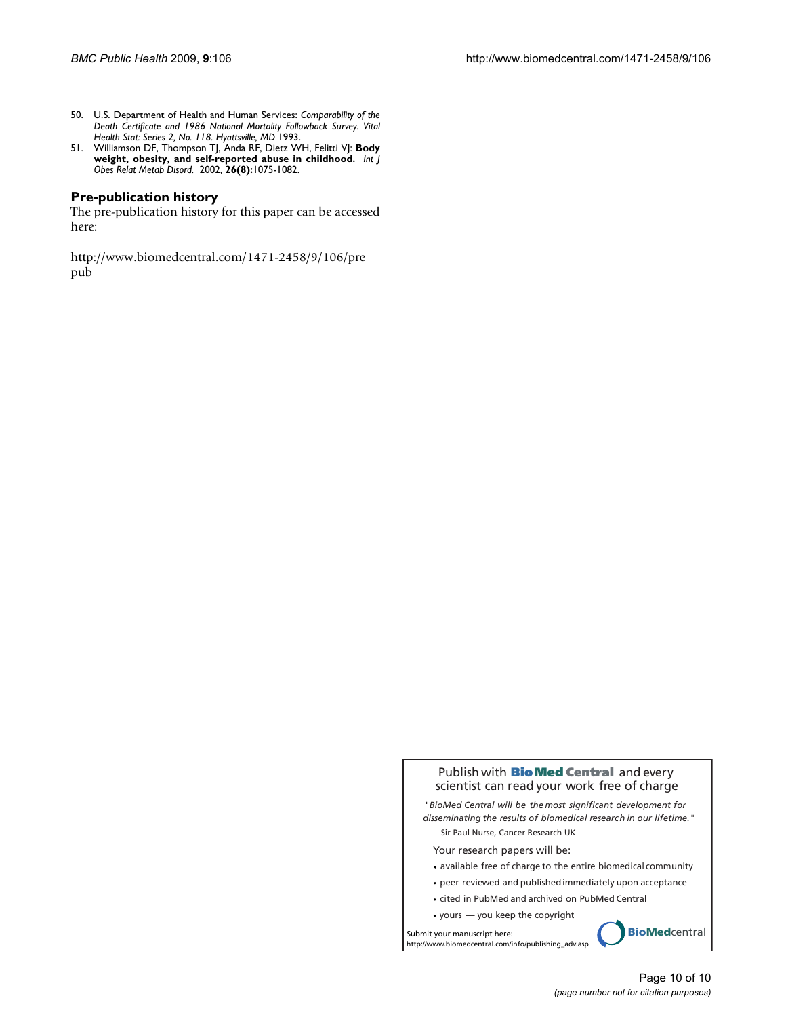- 50. U.S. Department of Health and Human Services: *Comparability of the Death Certificate and 1986 National Mortality Followback Survey. Vital Health Stat: Series 2, No. 118. Hyattsville, MD* 1993.
- 51. Williamson DF, Thompson TJ, Anda RF, Dietz WH, Felitti VJ: **[Body](http://www.ncbi.nlm.nih.gov/entrez/query.fcgi?cmd=Retrieve&db=PubMed&dopt=Abstract&list_uids=12119573) [weight, obesity, and self-reported abuse in childhood.](http://www.ncbi.nlm.nih.gov/entrez/query.fcgi?cmd=Retrieve&db=PubMed&dopt=Abstract&list_uids=12119573)** *Int J Obes Relat Metab Disord.* 2002, **26(8):**1075-1082.

#### **Pre-publication history**

The pre-publication history for this paper can be accessed here:

http://www.biomedcentral.com/1471-2458/9/106/pre pub